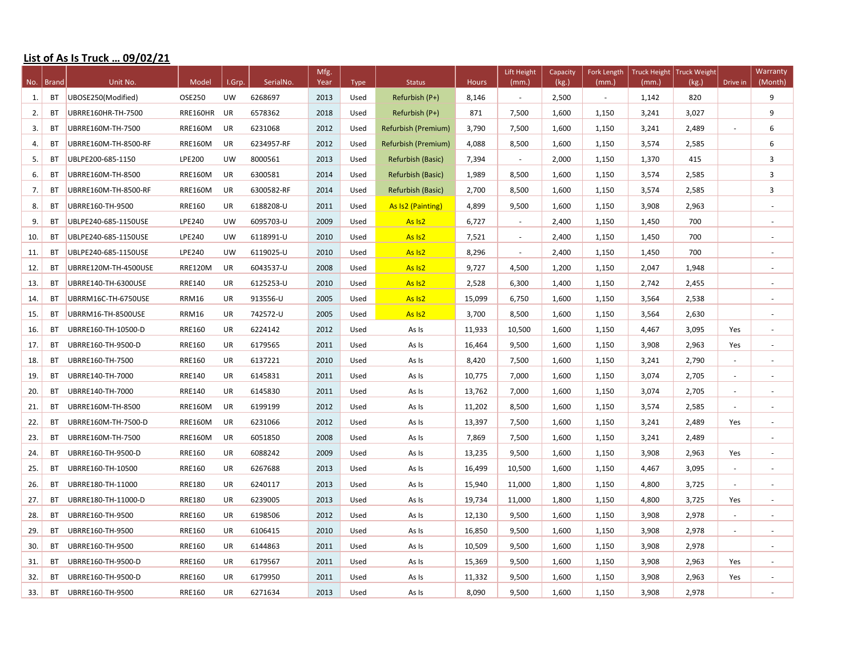## **List of As Is Truck ... 09/02/21**

|     |             | Unit No.             |                |           | SerialNo.  | Mfg. |      |                     |              | Lift Height              | Capacity | Fork Length | <b>Truck Height</b> | <b>Truck Weight</b> |                          | Warranty                 |
|-----|-------------|----------------------|----------------|-----------|------------|------|------|---------------------|--------------|--------------------------|----------|-------------|---------------------|---------------------|--------------------------|--------------------------|
|     | No.   Brand |                      | Model          | I.Grp.    |            | Year | Type | <b>Status</b>       | <b>Hours</b> | (mm.)                    | (kg.)    | (mm.)       | (mm.)               | (kg.)               | Drive in                 | (Month)                  |
| 1.  | BT          | UBOSE250(Modified)   | OSE250         | UW        | 6268697    | 2013 | Used | Refurbish (P+)      | 8,146        | $\omega$                 | 2,500    | $\sim$      | 1,142               | 820                 |                          | 9                        |
| 2.  | <b>BT</b>   | UBRRE160HR-TH-7500   | RRE160HR       | UR        | 6578362    | 2018 | Used | Refurbish (P+)      | 871          | 7,500                    | 1,600    | 1,150       | 3,241               | 3,027               |                          | 9                        |
| 3.  | BT          | UBRRE160M-TH-7500    | <b>RRE160M</b> | UR        | 6231068    | 2012 | Used | Refurbish (Premium) | 3,790        | 7,500                    | 1,600    | 1,150       | 3,241               | 2,489               | $\overline{\phantom{a}}$ | 6                        |
| 4.  | <b>BT</b>   | UBRRE160M-TH-8500-RF | <b>RRE160M</b> | UR        | 6234957-RF | 2012 | Used | Refurbish (Premium) | 4,088        | 8,500                    | 1,600    | 1,150       | 3,574               | 2,585               |                          | 6                        |
| 5.  | BT          | UBLPE200-685-1150    | <b>LPE200</b>  | <b>UW</b> | 8000561    | 2013 | Used | Refurbish (Basic)   | 7,394        | $\overline{\phantom{a}}$ | 2,000    | 1,150       | 1,370               | 415                 |                          | 3                        |
| 6.  | <b>BT</b>   | UBRRE160M-TH-8500    | <b>RRE160M</b> | UR        | 6300581    | 2014 | Used | Refurbish (Basic)   | 1,989        | 8,500                    | 1,600    | 1,150       | 3,574               | 2,585               |                          | 3                        |
| 7.  | BT          | UBRRE160M-TH-8500-RF | <b>RRE160M</b> | UR        | 6300582-RF | 2014 | Used | Refurbish (Basic)   | 2,700        | 8,500                    | 1,600    | 1,150       | 3,574               | 2,585               |                          | $\overline{3}$           |
| 8.  | <b>BT</b>   | UBRRE160-TH-9500     | <b>RRE160</b>  | UR        | 6188208-U  | 2011 | Used | As Is2 (Painting)   | 4,899        | 9,500                    | 1,600    | 1,150       | 3,908               | 2,963               |                          |                          |
| 9.  | <b>BT</b>   | UBLPE240-685-1150USE | LPE240         | UW        | 6095703-U  | 2009 | Used | As Is <sub>2</sub>  | 6,727        | $\sim$                   | 2,400    | 1,150       | 1,450               | 700                 |                          | ÷                        |
| 10. | BT          | UBLPE240-685-1150USE | LPE240         | <b>UW</b> | 6118991-U  | 2010 | Used | As Is <sub>2</sub>  | 7,521        | $\overline{\phantom{a}}$ | 2,400    | 1,150       | 1,450               | 700                 |                          |                          |
| 11. | BT          | UBLPE240-685-1150USE | LPE240         | <b>UW</b> | 6119025-U  | 2010 | Used | As Is <sub>2</sub>  | 8,296        | $\overline{\phantom{a}}$ | 2,400    | 1,150       | 1,450               | 700                 |                          |                          |
| 12. | <b>BT</b>   | UBRRE120M-TH-4500USE | <b>RRE120M</b> | UR        | 6043537-U  | 2008 | Used | As Is <sub>2</sub>  | 9,727        | 4,500                    | 1,200    | 1,150       | 2,047               | 1,948               |                          | $\sim$                   |
| 13. | <b>BT</b>   | UBRRE140-TH-6300USE  | <b>RRE140</b>  | UR        | 6125253-U  | 2010 | Used | As Is <sub>2</sub>  | 2,528        | 6,300                    | 1,400    | 1,150       | 2,742               | 2,455               |                          | ä,                       |
| 14. | BT          | UBRRM16C-TH-6750USE  | <b>RRM16</b>   | UR        | 913556-U   | 2005 | Used | As Is <sub>2</sub>  | 15,099       | 6,750                    | 1,600    | 1,150       | 3,564               | 2,538               |                          | $\overline{\phantom{a}}$ |
| 15. | <b>BT</b>   | UBRRM16-TH-8500USE   | <b>RRM16</b>   | UR        | 742572-U   | 2005 | Used | As Is <sub>2</sub>  | 3,700        | 8,500                    | 1,600    | 1,150       | 3,564               | 2,630               |                          | $\sim$                   |
| 16. | BT          | UBRRE160-TH-10500-D  | <b>RRE160</b>  | UR        | 6224142    | 2012 | Used | As Is               | 11,933       | 10,500                   | 1,600    | 1,150       | 4,467               | 3,095               | Yes                      |                          |
| 17. | <b>BT</b>   | UBRRE160-TH-9500-D   | <b>RRE160</b>  | UR        | 6179565    | 2011 | Used | As Is               | 16,464       | 9,500                    | 1,600    | 1,150       | 3,908               | 2,963               | Yes                      |                          |
| 18. | BT          | UBRRE160-TH-7500     | <b>RRE160</b>  | UR        | 6137221    | 2010 | Used | As Is               | 8,420        | 7,500                    | 1,600    | 1,150       | 3,241               | 2,790               | $\sim$                   | $\overline{\phantom{a}}$ |
| 19. | <b>BT</b>   | UBRRE140-TH-7000     | <b>RRE140</b>  | UR        | 6145831    | 2011 | Used | As Is               | 10,775       | 7,000                    | 1,600    | 1,150       | 3,074               | 2,705               | $\sim$                   | $\sim$                   |
| 20. | BT          | UBRRE140-TH-7000     | <b>RRE140</b>  | UR        | 6145830    | 2011 | Used | As Is               | 13,762       | 7,000                    | 1,600    | 1,150       | 3,074               | 2,705               |                          |                          |
| 21. | <b>BT</b>   | UBRRE160M-TH-8500    | <b>RRE160M</b> | UR        | 6199199    | 2012 | Used | As Is               | 11,202       | 8,500                    | 1,600    | 1,150       | 3,574               | 2,585               | $\sim$                   | $\sim$                   |
| 22. | BT          | UBRRE160M-TH-7500-D  | <b>RRE160M</b> | UR        | 6231066    | 2012 | Used | As Is               | 13,397       | 7,500                    | 1,600    | 1,150       | 3,241               | 2,489               | Yes                      |                          |
| 23. | BT          | UBRRE160M-TH-7500    | <b>RRE160M</b> | UR        | 6051850    | 2008 | Used | As Is               | 7,869        | 7,500                    | 1,600    | 1,150       | 3,241               | 2,489               |                          |                          |
| 24. | BT          | UBRRE160-TH-9500-D   | RRE160         | UR        | 6088242    | 2009 | Used | As Is               | 13,235       | 9,500                    | 1,600    | 1,150       | 3,908               | 2,963               | Yes                      | $\overline{\phantom{a}}$ |
| 25. | BT          | UBRRE160-TH-10500    | <b>RRE160</b>  | UR        | 6267688    | 2013 | Used | As Is               | 16,499       | 10,500                   | 1,600    | 1,150       | 4,467               | 3,095               | $\sim$                   | $\sim$                   |
| 26. | BT          | UBRRE180-TH-11000    | <b>RRE180</b>  | UR        | 6240117    | 2013 | Used | As Is               | 15,940       | 11,000                   | 1,800    | 1,150       | 4,800               | 3,725               | $\sim$                   | $\overline{\phantom{a}}$ |
| 27. | BT          | UBRRE180-TH-11000-D  | <b>RRE180</b>  | UR        | 6239005    | 2013 | Used | As Is               | 19,734       | 11,000                   | 1,800    | 1,150       | 4,800               | 3,725               | Yes                      | $\overline{\phantom{a}}$ |
|     | <b>BT</b>   |                      | RRE160         | UR        | 6198506    | 2012 |      |                     |              | 9,500                    | 1,600    |             |                     | 2,978               | $\sim$                   |                          |
| 28. |             | UBRRE160-TH-9500     | <b>RRE160</b>  |           |            | 2010 | Used | As Is               | 12,130       | 9,500                    |          | 1,150       | 3,908               | 2,978               |                          |                          |
| 29. | BT          | UBRRE160-TH-9500     |                | UR        | 6106415    |      | Used | As Is               | 16,850       |                          | 1,600    | 1,150       | 3,908               |                     | $\overline{\phantom{a}}$ |                          |
| 30. | BT          | UBRRE160-TH-9500     | <b>RRE160</b>  | UR        | 6144863    | 2011 | Used | As Is               | 10,509       | 9,500                    | 1,600    | 1,150       | 3,908               | 2,978               |                          | $\overline{\phantom{a}}$ |
| 31. | BT          | UBRRE160-TH-9500-D   | <b>RRE160</b>  | UR        | 6179567    | 2011 | Used | As Is               | 15,369       | 9,500                    | 1,600    | 1,150       | 3,908               | 2,963               | Yes                      | $\overline{\phantom{a}}$ |
| 32. | <b>BT</b>   | UBRRE160-TH-9500-D   | <b>RRE160</b>  | UR        | 6179950    | 2011 | Used | As Is               | 11,332       | 9,500                    | 1,600    | 1,150       | 3,908               | 2,963               | Yes                      | $\overline{\phantom{a}}$ |
| 33. | <b>BT</b>   | UBRRE160-TH-9500     | RRE160         | UR        | 6271634    | 2013 | Used | As Is               | 8,090        | 9,500                    | 1,600    | 1,150       | 3,908               | 2,978               |                          | $\overline{\phantom{a}}$ |